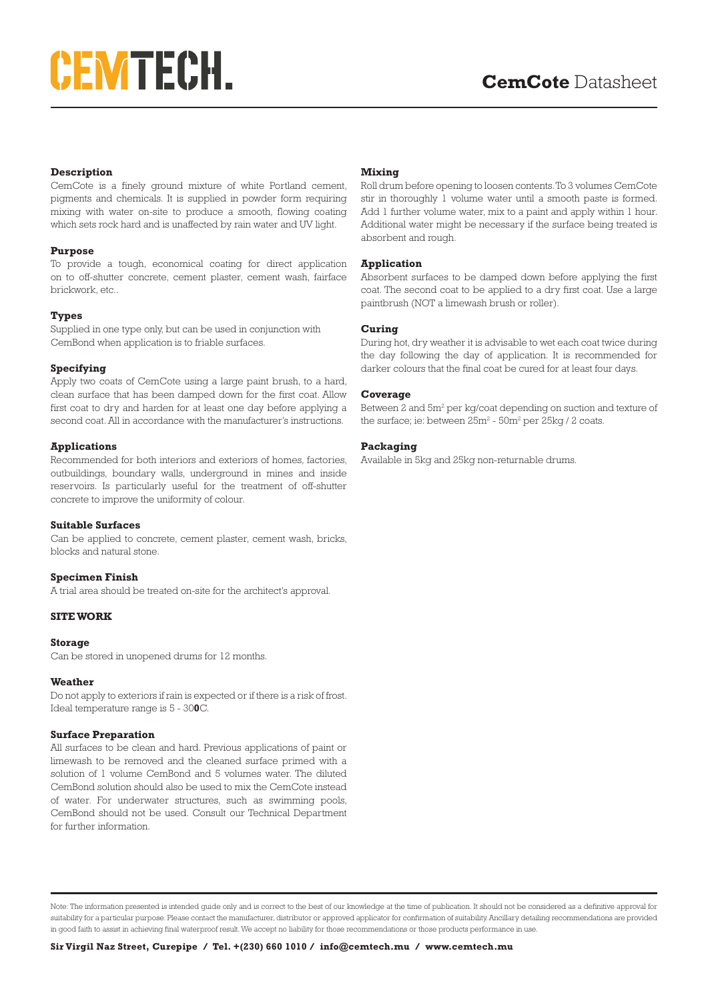# **CEMTECH.**

# **Description**

CemCote is a finely ground mixture of white Portland cement, pigments and chemicals. It is supplied in powder form requiring mixing with water on-site to produce a smooth, flowing coating which sets rock hard and is unaffected by rain water and UV light.

#### **Purpose**

To provide a tough, economical coating for direct application on to off-shutter concrete, cement plaster, cement wash, fairface brickwork, etc..

#### **Types**

Supplied in one type only, but can be used in conjunction with CemBond when application is to friable surfaces.

#### **Specifying**

Apply two coats of CemCote using a large paint brush, to a hard, clean surface that has been damped down for the first coat. Allow first coat to dry and harden for at least one day before applying a second coat. All in accordance with the manufacturer's instructions.

# **Applications**

Recommended for both interiors and exteriors of homes, factories, outbuildings, boundary walls, underground in mines and inside reservoirs. Is particularly useful for the treatment of off-shutter concrete to improve the uniformity of colour.

#### **Suitable Surfaces**

Can be applied to concrete, cement plaster, cement wash, bricks, blocks and natural stone.

# **Specimen Finish**

A trial area should be treated on-site for the architect's approval.

### **SITE WORK**

#### **Storage**

Can be stored in unopened drums for 12 months.

#### **Weather**

Do not apply to exteriors if rain is expected or if there is a risk of frost. Ideal temperature range is 5 - 30**0**C.

#### **Surface Preparation**

All surfaces to be clean and hard. Previous applications of paint or limewash to be removed and the cleaned surface primed with a solution of 1 volume CemBond and 5 volumes water. The diluted CemBond solution should also be used to mix the CemCote instead of water. For underwater structures, such as swimming pools, CemBond should not be used. Consult our Technical Department for further information.

#### **Mixing**

Roll drum before opening to loosen contents. To 3 volumes CemCote stir in thoroughly 1 volume water until a smooth paste is formed. Add 1 further volume water, mix to a paint and apply within 1 hour. Additional water might be necessary if the surface being treated is absorbent and rough.

#### **Application**

Absorbent surfaces to be damped down before applying the first coat. The second coat to be applied to a dry first coat. Use a large paintbrush (NOT a limewash brush or roller).

#### **Curing**

During hot, dry weather it is advisable to wet each coat twice during the day following the day of application. It is recommended for darker colours that the final coat be cured for at least four days.

#### **Coverage**

Between 2 and 5m<sup>2</sup> per kg/coat depending on suction and texture of the surface; ie: between  $25m^2$  -  $50m^2$  per  $25kg/2$  coats.

# **Packaging**

Available in 5kg and 25kg non-returnable drums.

Note: The information presented is intended guide only and is correct to the best of our knowledge at the time of publication. It should not be considered as a definitive approval for suitability for a particular purpose. Please contact the manufacturer, distributor or approved applicator for confirmation of suitability. Ancillary detailing recommendations are provided in good faith to assist in achieving final waterproof result. We accept no liability for those recommendations or those products performance in use.